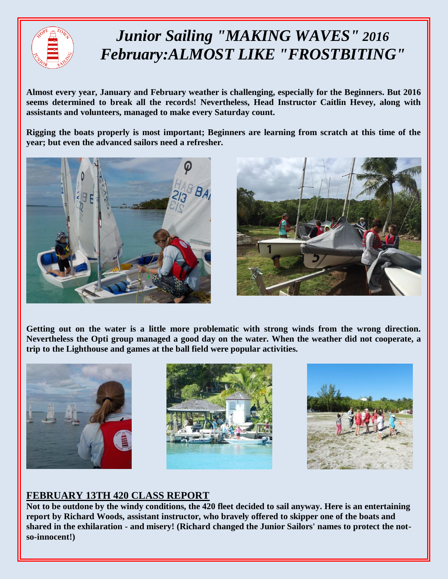

## *Junior Sailing "MAKING WAVES" 2016 February:ALMOST LIKE "FROSTBITING"*

**Almost every year, January and February weather is challenging, especially for the Beginners. But 2016 seems determined to break all the records! Nevertheless, Head Instructor Caitlin Hevey, along with assistants and volunteers, managed to make every Saturday count.**

**Rigging the boats properly is most important; Beginners are learning from scratch at this time of the year; but even the advanced sailors need a refresher.** 





**Getting out on the water is a little more problematic with strong winds from the wrong direction. Nevertheless the Opti group managed a good day on the water. When the weather did not cooperate, a trip to the Lighthouse and games at the ball field were popular activities.**







## **FEBRUARY 13TH 420 CLASS REPORT**

**Not to be outdone by the windy conditions, the 420 fleet decided to sail anyway. Here is an entertaining report by Richard Woods, assistant instructor, who bravely offered to skipper one of the boats and shared in the exhilaration - and misery! (Richard changed the Junior Sailors' names to protect the notso-innocent!)**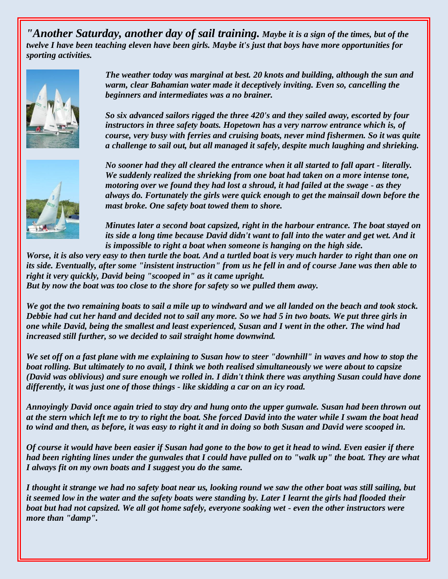*"Another Saturday, another day of sail training. Maybe it is a sign of the times, but of the twelve I have been teaching eleven have been girls. Maybe it's just that boys have more opportunities for sporting activities.*



*The weather today was marginal at best. 20 knots and building, although the sun and warm, clear Bahamian water made it deceptively inviting. Even so, cancelling the beginners and intermediates was a no brainer.*

*So six advanced sailors rigged the three 420's and they sailed away, escorted by four instructors in three safety boats. Hopetown has a very narrow entrance which is, of course, very busy with ferries and cruising boats, never mind fishermen. So it was quite a challenge to sail out, but all managed it safely, despite much laughing and shrieking.*



*No sooner had they all cleared the entrance when it all started to fall apart - literally. We suddenly realized the shrieking from one boat had taken on a more intense tone, motoring over we found they had lost a shroud, it had failed at the swage - as they always do. Fortunately the girls were quick enough to get the mainsail down before the mast broke. One safety boat towed them to shore.*

*Minutes later a second boat capsized, right in the harbour entrance. The boat stayed on its side a long time because David didn't want to fall into the water and get wet. And it is impossible to right a boat when someone is hanging on the high side.* 

*Worse, it is also very easy to then turtle the boat. And a turtled boat is very much harder to right than one on its side. Eventually, after some "insistent instruction" from us he fell in and of course Jane was then able to right it very quickly, David being "scooped in" as it came upright. But by now the boat was too close to the shore for safety so we pulled them away.*

*We got the two remaining boats to sail a mile up to windward and we all landed on the beach and took stock. Debbie had cut her hand and decided not to sail any more. So we had 5 in two boats. We put three girls in one while David, being the smallest and least experienced, Susan and I went in the other. The wind had increased still further, so we decided to sail straight home downwind.*

*We set off on a fast plane with me explaining to Susan how to steer "downhill" in waves and how to stop the boat rolling. But ultimately to no avail, I think we both realised simultaneously we were about to capsize (David was oblivious) and sure enough we rolled in. I didn't think there was anything Susan could have done differently, it was just one of those things - like skidding a car on an icy road.*

*Annoyingly David once again tried to stay dry and hung onto the upper gunwale. Susan had been thrown out at the stern which left me to try to right the boat. She forced David into the water while I swam the boat head to wind and then, as before, it was easy to right it and in doing so both Susan and David were scooped in.*

*Of course it would have been easier if Susan had gone to the bow to get it head to wind. Even easier if there had been righting lines under the gunwales that I could have pulled on to "walk up" the boat. They are what I always fit on my own boats and I suggest you do the same.*

*I thought it strange we had no safety boat near us, looking round we saw the other boat was still sailing, but it seemed low in the water and the safety boats were standing by. Later I learnt the girls had flooded their boat but had not capsized. We all got home safely, everyone soaking wet - even the other instructors were more than "damp".*